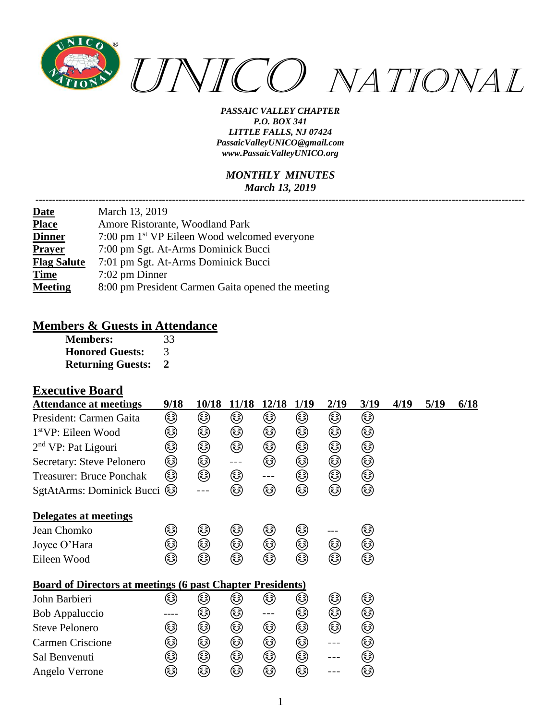

#### *MONTHLY MINUTES March 13, 2019*

| <b>Date</b>        | March 13, 2019                                           |
|--------------------|----------------------------------------------------------|
| <b>Place</b>       | Amore Ristorante, Woodland Park                          |
| <b>Dinner</b>      | 7:00 pm 1 <sup>st</sup> VP Eileen Wood welcomed everyone |
| <b>Prayer</b>      | 7:00 pm Sgt. At-Arms Dominick Bucci                      |
| <b>Flag Salute</b> | 7:01 pm Sgt. At-Arms Dominick Bucci                      |
| <b>Time</b>        | $7:02$ pm Dinner                                         |
| <b>Meeting</b>     | 8:00 pm President Carmen Gaita opened the meeting        |

#### **Members & Guests in Attendance**

| <b>Members:</b>          | 33 |
|--------------------------|----|
| <b>Honored Guests:</b>   | 3  |
| <b>Returning Guests:</b> | 2  |

### **Executive Board**

| <b>Attendance at meetings</b>                                     | 9/18 | 10/18 | 11/18                | 12/18 | 1/19 | 2/19    | 3/19 | 4/19 | 5/19 | 6/18 |
|-------------------------------------------------------------------|------|-------|----------------------|-------|------|---------|------|------|------|------|
| President: Carmen Gaita                                           | ☺    | ☺     | ☺                    | ☺     | ☺    | ☺       | ☺    |      |      |      |
| $1stVP$ : Eileen Wood                                             | ☺    | ☺     | ☺                    | ☺     | ☺    | ٨       | ☺    |      |      |      |
| $2nd$ VP: Pat Ligouri                                             | ☺    | ☺     | ☺                    | ☺     | ☺    | ☺       | ٨    |      |      |      |
| Secretary: Steve Pelonero                                         | ☺    | ☺     | $\sim$ $\sim$ $\sim$ | ☺     | ☺    | ☺       | ٨    |      |      |      |
| <b>Treasurer: Bruce Ponchak</b>                                   | ☺    | ☺     | ☺                    | $---$ | ☺    | ☺       | ٨    |      |      |      |
| SgtAtArms: Dominick Bucci                                         | ٨    |       | ٨                    | ☺     | ☺    | ☺       | ۵    |      |      |      |
| Delegates at meetings                                             |      |       |                      |       |      |         |      |      |      |      |
| Jean Chomko                                                       | ٨    | ☺     | ☺                    | ☺     | ☺    | ---     | ٨    |      |      |      |
| Joyce O'Hara                                                      | ☺    | ☺     | ☺                    | ☺     | ☺    | ☺       | ۵    |      |      |      |
| Eileen Wood                                                       | ☺    | ☞     | ☺                    | ☺     | ☺    | ☺       | ۵    |      |      |      |
| <b>Board of Directors at meetings (6 past Chapter Presidents)</b> |      |       |                      |       |      |         |      |      |      |      |
| John Barbieri                                                     | کا   | ک     | ک                    | ٨     | کا   | ☺       | ☺    |      |      |      |
| <b>Bob Appaluccio</b>                                             |      | ☺     | ☺                    | $---$ | ☺    | ☺       | ٨    |      |      |      |
| <b>Steve Pelonero</b>                                             | ☺    | ☺     | ٨                    | ☺     | ☺    | ☺       | ۵    |      |      |      |
| Carmen Criscione                                                  | ☺    | ☺     | ☺                    | ☺     | ☺    | $- - -$ | ٨    |      |      |      |
| Sal Benvenuti                                                     | ٨    | ☺     | ٨                    | ☺     | ☺    |         | ☺    |      |      |      |
| Angelo Verrone                                                    | ☺    | ☺     | ٨                    | ٨     | ☺    |         | ٨    |      |      |      |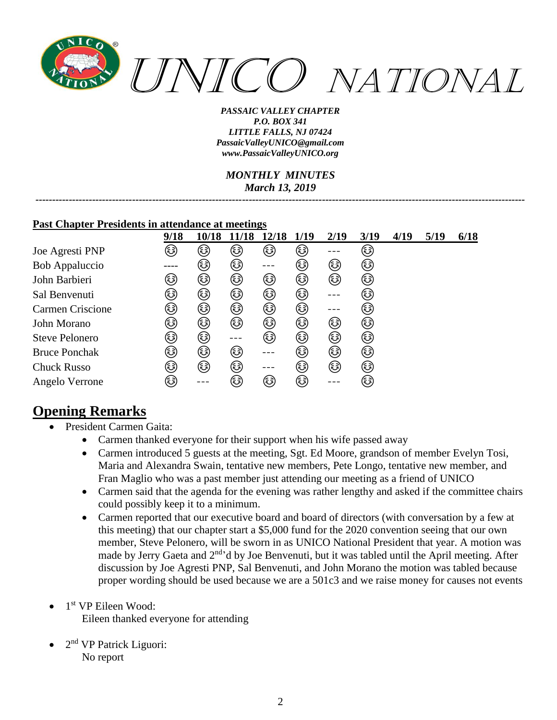

*MONTHLY MINUTES March 13, 2019*

*---------------------------------------------------------------------------------------------------------------------------------------------------*

#### **Past Chapter Presidents in attendance at meetings**

|                       | 9/18   | 10/18 | 11/18  | 12/18  | 1/19   | 2/19 | 3/19   | 4/19 | 5/19 | 6/18 |
|-----------------------|--------|-------|--------|--------|--------|------|--------|------|------|------|
| Joe Agresti PNP       | کہ)    | ٨     | کہ)    | ٨      | ٨      |      | (هَ)   |      |      |      |
| Bob Appaluccio        |        | (هَ)  | ٨      |        | کی     | ٨    | ٨      |      |      |      |
| John Barbieri         | کی     | ٨     | ☺      | ٨      | ٨      | ٨    | ☺      |      |      |      |
| Sal Benvenuti         | کی     | (هَ)  | ٨      | ٨      | کہ)    |      | (هَ)   |      |      |      |
| Carmen Criscione      | کی     | ☞     | ☺      | ☞      | ٨      |      | ٨      |      |      |      |
| John Morano           | ٨      | ٤     | ٨      | ٤      | (هَ)   | کہ)  | ٨      |      |      |      |
| <b>Steve Pelonero</b> | ٨      | ☞     |        | ٨      | ٨      | ٨    | ٨      |      |      |      |
| <b>Bruce Ponchak</b>  | (هَهَ) | ٤     | ٤      |        | (هَءَ) | ٤    | ☞      |      |      |      |
| <b>Chuck Russo</b>    | کی     | ٨     | ٨      |        | ٨      | ٤    | ٨      |      |      |      |
| Angelo Verrone        | (هَءَ) |       | (هَءَ) | (هَءَ) | (هَهَ) |      | (هَءَ) |      |      |      |

## **Opening Remarks**

- President Carmen Gaita:
	- Carmen thanked everyone for their support when his wife passed away
	- Carmen introduced 5 guests at the meeting, Sgt. Ed Moore, grandson of member Evelyn Tosi, Maria and Alexandra Swain, tentative new members, Pete Longo, tentative new member, and Fran Maglio who was a past member just attending our meeting as a friend of UNICO
	- Carmen said that the agenda for the evening was rather lengthy and asked if the committee chairs could possibly keep it to a minimum.
	- Carmen reported that our executive board and board of directors (with conversation by a few at this meeting) that our chapter start a \$5,000 fund for the 2020 convention seeing that our own member, Steve Pelonero, will be sworn in as UNICO National President that year. A motion was made by Jerry Gaeta and 2<sup>nd</sup> d by Joe Benvenuti, but it was tabled until the April meeting. After discussion by Joe Agresti PNP, Sal Benvenuti, and John Morano the motion was tabled because proper wording should be used because we are a 501c3 and we raise money for causes not events
- 1<sup>st</sup> VP Eileen Wood: Eileen thanked everyone for attending
- $\bullet$  2<sup>nd</sup> VP Patrick Liguori: No report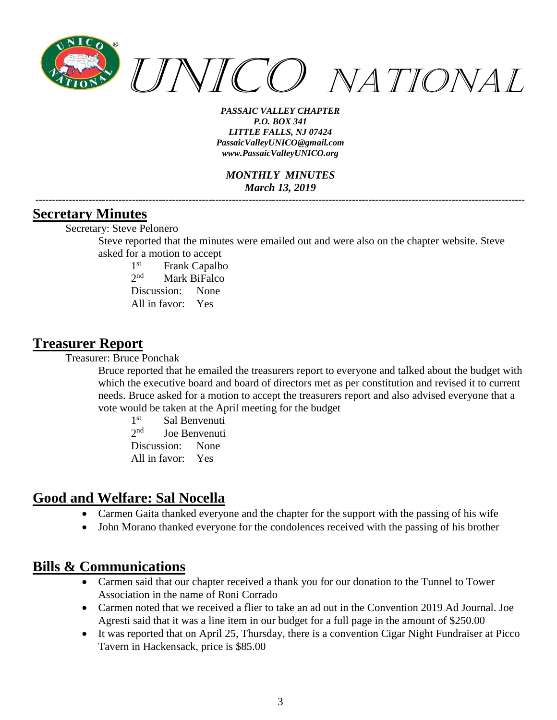

*MONTHLY MINUTES March 13, 2019 ---------------------------------------------------------------------------------------------------------------------------------------------------*

### **Secretary Minutes**

Secretary: Steve Pelonero

Steve reported that the minutes were emailed out and were also on the chapter website. Steve asked for a motion to accept

 $1<sup>st</sup>$ Frank Capalbo  $2^{nd}$ Mark BiFalco Discussion: None All in favor: Yes

### **Treasurer Report**

Treasurer: Bruce Ponchak

Bruce reported that he emailed the treasurers report to everyone and talked about the budget with which the executive board and board of directors met as per constitution and revised it to current needs. Bruce asked for a motion to accept the treasurers report and also advised everyone that a vote would be taken at the April meeting for the budget

 $1<sup>st</sup>$ Sal Benvenuti  $2^{nd}$ Joe Benvenuti Discussion: None All in favor: Yes

## **Good and Welfare: Sal Nocella**

- Carmen Gaita thanked everyone and the chapter for the support with the passing of his wife
- John Morano thanked everyone for the condolences received with the passing of his brother

### **Bills & Communications**

- Carmen said that our chapter received a thank you for our donation to the Tunnel to Tower Association in the name of Roni Corrado
- Carmen noted that we received a flier to take an ad out in the Convention 2019 Ad Journal. Joe Agresti said that it was a line item in our budget for a full page in the amount of \$250.00
- It was reported that on April 25, Thursday, there is a convention Cigar Night Fundraiser at Picco Tavern in Hackensack, price is \$85.00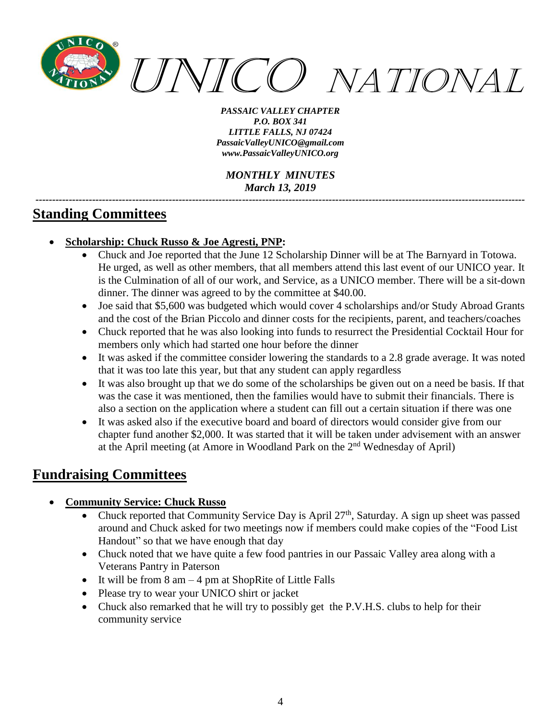

*MONTHLY MINUTES March 13, 2019*

*---------------------------------------------------------------------------------------------------------------------------------------------------*

## **Standing Committees**

- **Scholarship: Chuck Russo & Joe Agresti, PNP:**
	- Chuck and Joe reported that the June 12 Scholarship Dinner will be at The Barnyard in Totowa. He urged, as well as other members, that all members attend this last event of our UNICO year. It is the Culmination of all of our work, and Service, as a UNICO member. There will be a sit-down dinner. The dinner was agreed to by the committee at \$40.00.
	- Joe said that \$5,600 was budgeted which would cover 4 scholarships and/or Study Abroad Grants and the cost of the Brian Piccolo and dinner costs for the recipients, parent, and teachers/coaches
	- Chuck reported that he was also looking into funds to resurrect the Presidential Cocktail Hour for members only which had started one hour before the dinner
	- It was asked if the committee consider lowering the standards to a 2.8 grade average. It was noted that it was too late this year, but that any student can apply regardless
	- It was also brought up that we do some of the scholarships be given out on a need be basis. If that was the case it was mentioned, then the families would have to submit their financials. There is also a section on the application where a student can fill out a certain situation if there was one
	- It was asked also if the executive board and board of directors would consider give from our chapter fund another \$2,000. It was started that it will be taken under advisement with an answer at the April meeting (at Amore in Woodland Park on the 2nd Wednesday of April)

# **Fundraising Committees**

- **Community Service: Chuck Russo**
	- Chuck reported that Community Service Day is April  $27<sup>th</sup>$ , Saturday. A sign up sheet was passed around and Chuck asked for two meetings now if members could make copies of the "Food List Handout" so that we have enough that day
	- Chuck noted that we have quite a few food pantries in our Passaic Valley area along with a Veterans Pantry in Paterson
	- It will be from  $8 \text{ am} 4 \text{ pm}$  at ShopRite of Little Falls
	- Please try to wear your UNICO shirt or jacket
	- Chuck also remarked that he will try to possibly get the P.V.H.S. clubs to help for their community service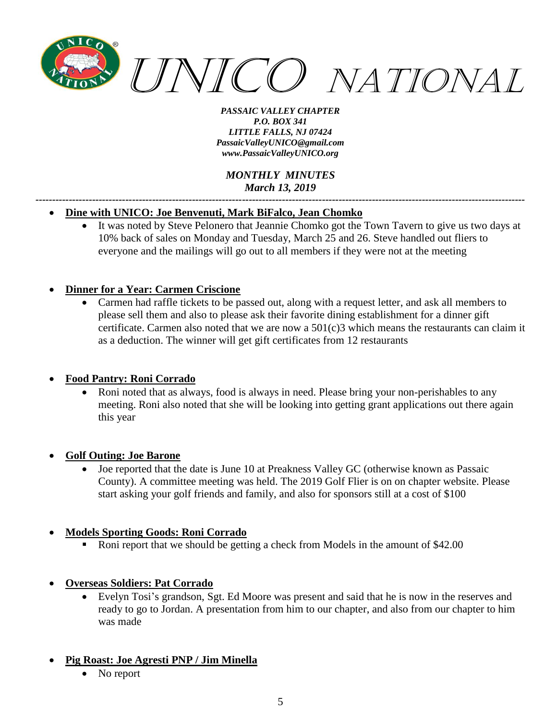

*MONTHLY MINUTES March 13, 2019*

*---------------------------------------------------------------------------------------------------------------------------------------------------*

#### • **Dine with UNICO: Joe Benvenuti, Mark BiFalco, Jean Chomko**

• It was noted by Steve Pelonero that Jeannie Chomko got the Town Tavern to give us two days at 10% back of sales on Monday and Tuesday, March 25 and 26. Steve handled out fliers to everyone and the mailings will go out to all members if they were not at the meeting

#### • **Dinner for a Year: Carmen Criscione**

• Carmen had raffle tickets to be passed out, along with a request letter, and ask all members to please sell them and also to please ask their favorite dining establishment for a dinner gift certificate. Carmen also noted that we are now a 501(c)3 which means the restaurants can claim it as a deduction. The winner will get gift certificates from 12 restaurants

#### • **Food Pantry: Roni Corrado**

• Roni noted that as always, food is always in need. Please bring your non-perishables to any meeting. Roni also noted that she will be looking into getting grant applications out there again this year

#### • **Golf Outing: Joe Barone**

• Joe reported that the date is June 10 at Preakness Valley GC (otherwise known as Passaic County). A committee meeting was held. The 2019 Golf Flier is on on chapter website. Please start asking your golf friends and family, and also for sponsors still at a cost of \$100

#### • **Models Sporting Goods: Roni Corrado**

- Roni report that we should be getting a check from Models in the amount of \$42.00
- **Overseas Soldiers: Pat Corrado**
	- Evelyn Tosi's grandson, Sgt. Ed Moore was present and said that he is now in the reserves and ready to go to Jordan. A presentation from him to our chapter, and also from our chapter to him was made
- **Pig Roast: Joe Agresti PNP / Jim Minella**
	- No report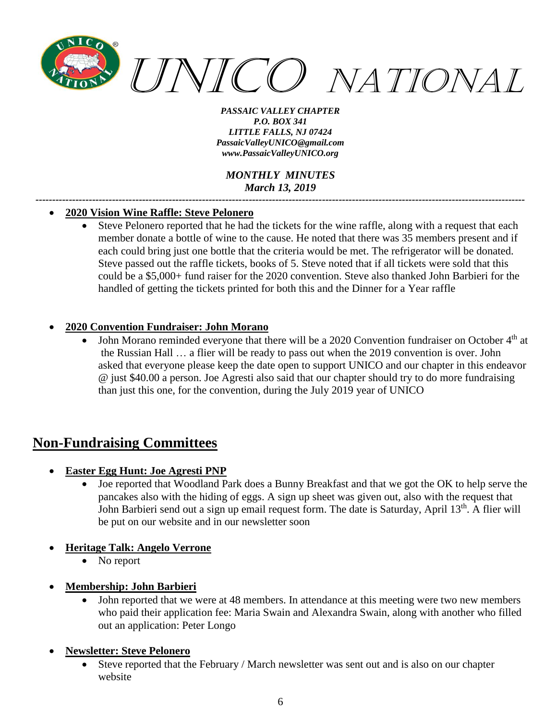

*MONTHLY MINUTES March 13, 2019*

*---------------------------------------------------------------------------------------------------------------------------------------------------*

#### • **2020 Vision Wine Raffle: Steve Pelonero**

• Steve Pelonero reported that he had the tickets for the wine raffle, along with a request that each member donate a bottle of wine to the cause. He noted that there was 35 members present and if each could bring just one bottle that the criteria would be met. The refrigerator will be donated. Steve passed out the raffle tickets, books of 5. Steve noted that if all tickets were sold that this could be a \$5,000+ fund raiser for the 2020 convention. Steve also thanked John Barbieri for the handled of getting the tickets printed for both this and the Dinner for a Year raffle

#### • **2020 Convention Fundraiser: John Morano**

• John Morano reminded everyone that there will be a 2020 Convention fundraiser on October  $4<sup>th</sup>$  at the Russian Hall … a flier will be ready to pass out when the 2019 convention is over. John asked that everyone please keep the date open to support UNICO and our chapter in this endeavor @ just \$40.00 a person. Joe Agresti also said that our chapter should try to do more fundraising than just this one, for the convention, during the July 2019 year of UNICO

## **Non-Fundraising Committees**

- **Easter Egg Hunt: Joe Agresti PNP**
	- Joe reported that Woodland Park does a Bunny Breakfast and that we got the OK to help serve the pancakes also with the hiding of eggs. A sign up sheet was given out, also with the request that John Barbieri send out a sign up email request form. The date is Saturday, April 13<sup>th</sup>. A flier will be put on our website and in our newsletter soon
- **Heritage Talk: Angelo Verrone**
	- No report
- **Membership: John Barbieri**
	- John reported that we were at 48 members. In attendance at this meeting were two new members who paid their application fee: Maria Swain and Alexandra Swain, along with another who filled out an application: Peter Longo
- **Newsletter: Steve Pelonero**
	- Steve reported that the February / March newsletter was sent out and is also on our chapter website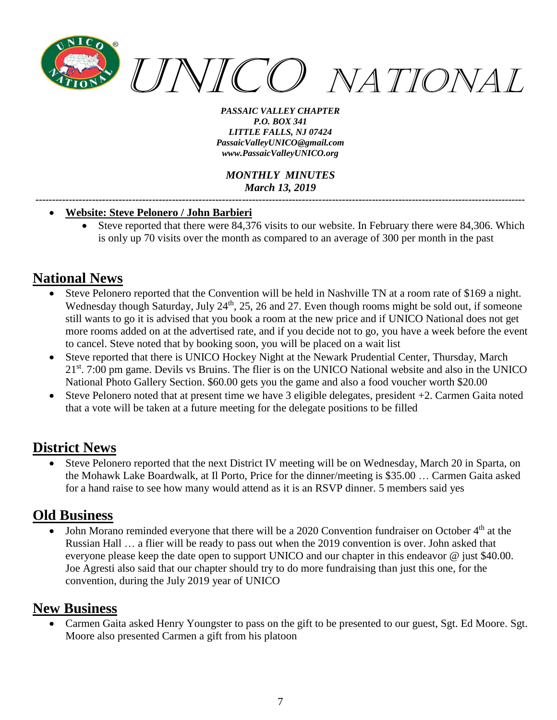

*MONTHLY MINUTES March 13, 2019*

*---------------------------------------------------------------------------------------------------------------------------------------------------*

#### • **Website: Steve Pelonero / John Barbieri**

• Steve reported that there were 84,376 visits to our website. In February there were 84,306. Which is only up 70 visits over the month as compared to an average of 300 per month in the past

# **National News**

- Steve Pelonero reported that the Convention will be held in Nashville TN at a room rate of \$169 a night. Wednesday though Saturday, July 24<sup>th</sup>, 25, 26 and 27. Even though rooms might be sold out, if someone still wants to go it is advised that you book a room at the new price and if UNICO National does not get more rooms added on at the advertised rate, and if you decide not to go, you have a week before the event to cancel. Steve noted that by booking soon, you will be placed on a wait list
- Steve reported that there is UNICO Hockey Night at the Newark Prudential Center, Thursday, March 21<sup>st</sup>. 7:00 pm game. Devils vs Bruins. The flier is on the UNICO National website and also in the UNICO National Photo Gallery Section. \$60.00 gets you the game and also a food voucher worth \$20.00
- Steve Pelonero noted that at present time we have 3 eligible delegates, president +2. Carmen Gaita noted that a vote will be taken at a future meeting for the delegate positions to be filled

## **District News**

• Steve Pelonero reported that the next District IV meeting will be on Wednesday, March 20 in Sparta, on the Mohawk Lake Boardwalk, at Il Porto, Price for the dinner/meeting is \$35.00 … Carmen Gaita asked for a hand raise to see how many would attend as it is an RSVP dinner. 5 members said yes

### **Old Business**

John Morano reminded everyone that there will be a 2020 Convention fundraiser on October 4<sup>th</sup> at the Russian Hall … a flier will be ready to pass out when the 2019 convention is over. John asked that everyone please keep the date open to support UNICO and our chapter in this endeavor @ just \$40.00. Joe Agresti also said that our chapter should try to do more fundraising than just this one, for the convention, during the July 2019 year of UNICO

## **New Business**

• Carmen Gaita asked Henry Youngster to pass on the gift to be presented to our guest, Sgt. Ed Moore. Sgt. Moore also presented Carmen a gift from his platoon